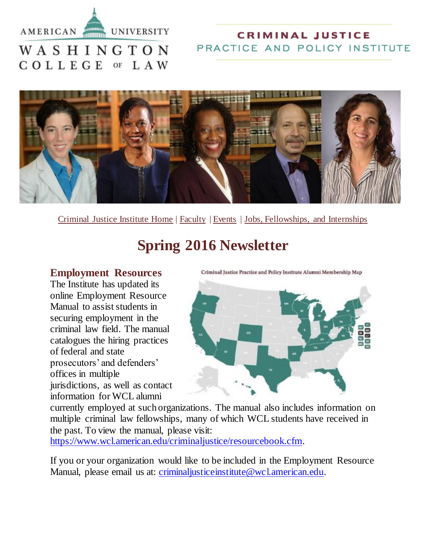#### AMERICAN



#### **CRIMINAL JUSTICE** PRACTICE AND POLICY INSTITUTE

# WASHINGTON COLLEGE OF LAW



[Criminal Justice Institute Home](https://www.wcl.american.edu/criminaljustice/) | [Faculty](https://www.wcl.american.edu/criminaljustice/faculty.cfm) | [Events](https://www.wcl.american.edu/criminaljustice/programsandevents.cfm) | [Jobs, Fellowships, and Internships](https://www.wcl.american.edu/criminaljustice/resourcebook.cfm)

# **Spring 2016 Newsletter**

#### **Employment Resources**

The Institute has updated its online Employment Resource Manual to assist students in securing employment in the criminal law field. The manual catalogues the hiring practices of federal and state prosecutors' and defenders' offices in multiple jurisdictions, as well as contact information for WCL alumni

Criminal Justice Practice and Policy Institute Alumni Membership Map



currently employed at such organizations. The manual also includes information on multiple criminal law fellowships, many of which WCL students have received in the past. To view the manual, please visit:

[https://www.wcl.american.edu/criminaljustice/resourcebook.cfm.](https://www.wcl.american.edu/criminaljustice/resourcebook.cfm)

If you or your organization would like to be included in the Employment Resource Manual, please email us at: *criminaljusticeinstitute@wcl.american.edu.*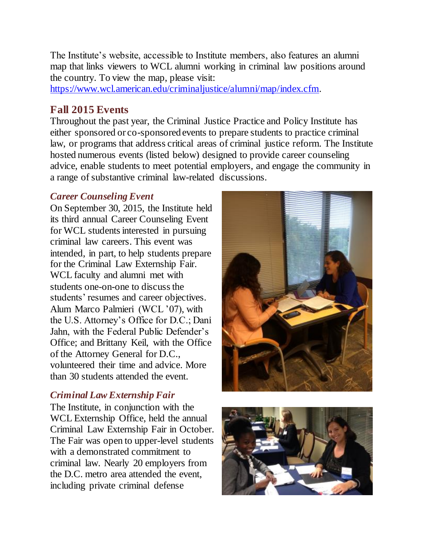The Institute's website, accessible to Institute members, also features an alumni map that links viewers to WCL alumni working in criminal law positions around the country. To view the map, please visit:

[https://www.wcl.american.edu/criminaljustice/alumni/map/index.cfm.](https://www.wcl.american.edu/criminaljustice/alumni/map/index.cfm)

#### **Fall 2015 Events**

Throughout the past year, the Criminal Justice Practice and Policy Institute has either sponsored or co-sponsored events to prepare students to practice criminal law, or programs that address critical areas of criminal justice reform. The Institute hosted numerous events (listed below) designed to provide career counseling advice, enable students to meet potential employers, and engage the community in a range of substantive criminal law-related discussions.

#### *Career Counseling Event*

On September 30, 2015, the Institute held its third annual Career Counseling Event for WCL students interested in pursuing criminal law careers. This event was intended, in part, to help students prepare for the Criminal Law Externship Fair. WCL faculty and alumni met with students one-on-one to discuss the students' resumes and career objectives. Alum Marco Palmieri (WCL '07), with the U.S. Attorney's Office for D.C.; Dani Jahn, with the Federal Public Defender's Office; and Brittany Keil, with the Office of the Attorney General for D.C., volunteered their time and advice. More than 30 students attended the event.

#### *Criminal Law Externship Fair*

The Institute, in conjunction with the WCL Externship Office, held the annual Criminal Law Externship Fair in October. The Fair was open to upper-level students with a demonstrated commitment to criminal law. Nearly 20 employers from the D.C. metro area attended the event, including private criminal defense



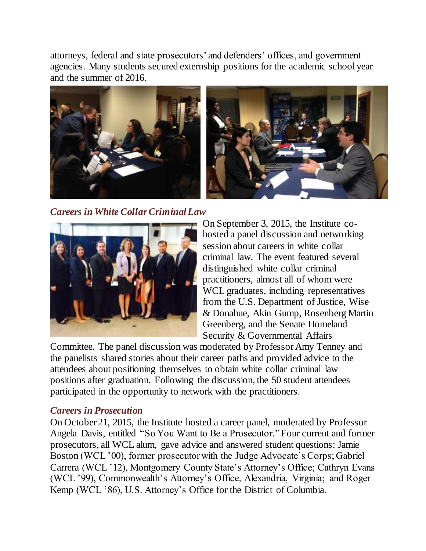attorneys, federal and state prosecutors' and defenders' offices, and government agencies. Many students secured externship positions for the academic school year and the summer of 2016.





*Careers in White Collar Criminal Law*



On September 3, 2015, the Institute cohosted a panel discussion and networking session about careers in white collar criminal law. The event featured several distinguished white collar criminal practitioners, almost all of whom were WCL graduates, including representatives from the U.S. Department of Justice, Wise & Donahue, Akin Gump, Rosenberg Martin Greenberg, and the Senate Homeland Security & Governmental Affairs

Committee. The panel discussion was moderated by Professor Amy Tenney and the panelists shared stories about their career paths and provided advice to the attendees about positioning themselves to obtain white collar criminal law positions after graduation. Following the discussion, the 50 student attendees participated in the opportunity to network with the practitioners.

#### *Careers in Prosecution*

On October 21, 2015, the Institute hosted a career panel, moderated by Professor Angela Davis, entitled "So You Want to Be a Prosecutor."Four current and former prosecutors, all WCL alum, gave advice and answered student questions: Jamie Boston (WCL '00), former prosecutor with the Judge Advocate's Corps; Gabriel Carrera (WCL '12), Montgomery County State's Attorney's Office; Cathryn Evans (WCL '99), Commonwealth's Attorney's Office, Alexandria, Virginia; and Roger Kemp (WCL '86), U.S. Attorney's Office for the District of Columbia.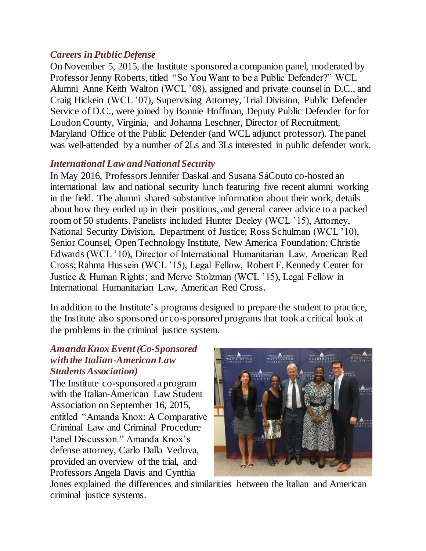#### *Careers in Public Defense*

On November 5, 2015, the Institute sponsored a companion panel, moderated by Professor Jenny Roberts, titled "So You Want to be a Public Defender?" WCL Alumni Anne Keith Walton (WCL '08), assigned and private counsel in D.C., and Craig Hickein (WCL '07), Supervising Attorney, Trial Division, Public Defender Service of D.C., were joined by Bonnie Hoffman, Deputy Public Defender for for Loudon County, Virginia, and Johanna Leschner, Director of Recruitment, Maryland Office of the Public Defender (and WCL adjunct professor). The panel was well-attended by a number of 2Ls and 3Ls interested in public defender work.

#### *International Law and National Security*

In May 2016, Professors Jennifer Daskal and Susana SáCouto co-hosted an international law and national security lunch featuring five recent alumni working in the field. The alumni shared substantive information about their work, details about how they ended up in their positions, and general career advice to a packed room of 50 students. Panelists included Hunter Deeley (WCL '15), Attorney, National Security Division, Department of Justice; Ross Schulman (WCL '10), Senior Counsel, Open Technology Institute, New America Foundation; Christie Edwards (WCL '10), Director of International Humanitarian Law, American Red Cross; Rahma Hussein (WCL '15), Legal Fellow, Robert F. Kennedy Center for Justice & Human Rights; and Merve Stolzman (WCL '15), Legal Fellow in International Humanitarian Law, American Red Cross.

In addition to the Institute's programs designed to prepare the student to practice, the Institute also sponsored or co-sponsored programs that took a critical look at the problems in the criminal justice system.

#### *Amanda Knox Event(Co-Sponsored with the Italian-AmericanLaw Students Association)*

The Institute co-sponsored a program with the Italian-American Law Student Association on September 16, 2015, entitled "Amanda Knox: A Comparative Criminal Law and Criminal Procedure Panel Discussion." Amanda Knox's defense attorney, Carlo Dalla Vedova, provided an overview of the trial, and Professors Angela Davis and Cynthia



Jones explained the differences and similarities between the Italian and American criminal justice systems.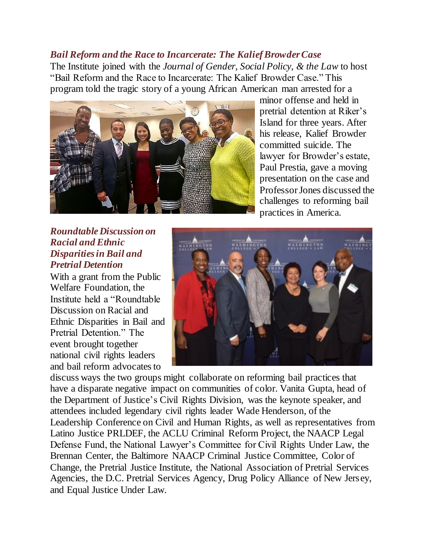#### *Bail Reform and the Race to Incarcerate: The Kalief Browder Case*

The Institute joined with the *Journal of Gender, Social Policy, & the Law* to host "Bail Reform and the Race to Incarcerate: The Kalief Browder Case." This program told the tragic story of a young African American man arrested for a



minor offense and held in pretrial detention at Riker's Island for three years. After his release, Kalief Browder committed suicide. The lawyer for Browder's estate, Paul Prestia, gave a moving presentation on the case and Professor Jones discussed the challenges to reforming bail practices in America.

#### *Roundtable Discussion on Racial and Ethnic Disparities in Bail and Pretrial Detention*

With a grant from the Public Welfare Foundation, the Institute held a "Roundtable Discussion on Racial and Ethnic Disparities in Bail and Pretrial Detention." The event brought together national civil rights leaders and bail reform advocates to



discuss ways the two groups might collaborate on reforming bail practices that have a disparate negative impact on communities of color. Vanita Gupta, head of the Department of Justice's Civil Rights Division, was the keynote speaker, and attendees included legendary civil rights leader Wade Henderson, of the Leadership Conference on Civil and Human Rights, as well as representatives from Latino Justice PRLDEF, the ACLU Criminal Reform Project, the NAACP Legal Defense Fund, the National Lawyer's Committee for Civil Rights Under Law, the Brennan Center, the Baltimore NAACP Criminal Justice Committee, Color of Change, the Pretrial Justice Institute, the National Association of Pretrial Services Agencies, the D.C. Pretrial Services Agency, Drug Policy Alliance of New Jersey, and Equal Justice Under Law.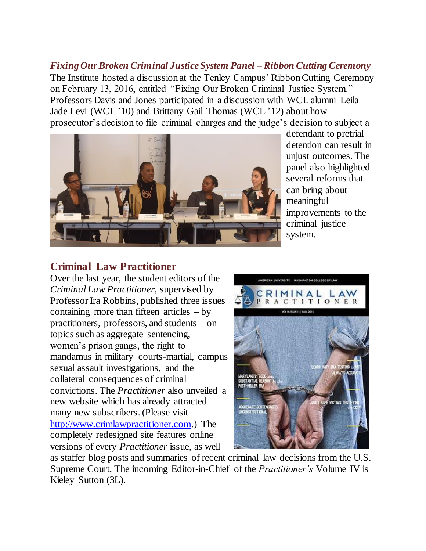*Fixing Our Broken Criminal Justice System Panel – Ribbon Cutting Ceremony* The Institute hosted a discussion at the Tenley Campus' Ribbon Cutting Ceremony on February 13, 2016, entitled "Fixing Our Broken Criminal Justice System." Professors Davis and Jones participated in a discussion with WCL alumni Leila Jade Levi (WCL '10) and Brittany Gail Thomas (WCL '12) about how prosecutor's decision to file criminal charges and the judge's decision to subject a



defendant to pretrial detention can result in unjust outcomes. The panel also highlighted several reforms that can bring about meaningful improvements to the criminal justice system.

#### **Criminal Law Practitioner**

Over the last year, the student editors of the *Criminal Law Practitioner*, supervised by Professor Ira Robbins, published three issues containing more than fifteen articles  $-$  by practitioners, professors, and students – on topics such as aggregate sentencing, women's prison gangs, the right to mandamus in military courts-martial, campus sexual assault investigations, and the collateral consequences of criminal convictions. The *Practitioner* also unveiled a new website which has already attracted many new subscribers. (Please visit [http://www.crimlawpractitioner.com.\)](http://www.crimlawpractitioner.com/) The completely redesigned site features online versions of every *Practitioner* issue, as well



as staffer blog posts and summaries of recent criminal law decisions from the U.S. Supreme Court. The incoming Editor-in-Chief of the *Practitioner's* Volume IV is Kieley Sutton (3L).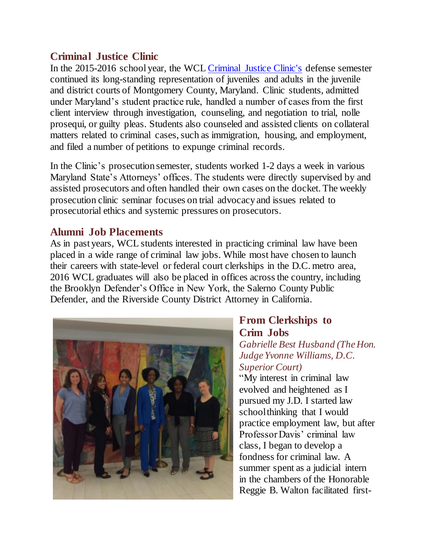## **Criminal Justice Clinic**

In the 2015-2016 school year, the WCL [Criminal Justice Clinic's](https://www.wcl.american.edu/clinical/criminal.cfm) defense semester continued its long-standing representation of juveniles and adults in the juvenile and district courts of Montgomery County, Maryland. Clinic students, admitted under Maryland's student practice rule, handled a number of cases from the first client interview through investigation, counseling, and negotiation to trial, nolle prosequi, or guilty pleas. Students also counseled and assisted clients on collateral matters related to criminal cases, such as immigration, housing, and employment, and filed a number of petitions to expunge criminal records.

In the Clinic's prosecution semester, students worked 1-2 days a week in various Maryland State's Attorneys' offices. The students were directly supervised by and assisted prosecutors and often handled their own cases on the docket. The weekly prosecution clinic seminar focuses on trial advocacy and issues related to prosecutorial ethics and systemic pressures on prosecutors.

#### **Alumni Job Placements**

As in past years, WCL students interested in practicing criminal law have been placed in a wide range of criminal law jobs. While most have chosen to launch their careers with state-level or federal court clerkships in the D.C. metro area, 2016 WCL graduates will also be placed in offices across the country, including the Brooklyn Defender's Office in New York, the Salerno County Public Defender, and the Riverside County District Attorney in California.



# **From Clerkships to Crim Jobs**

*Gabrielle Best Husband (The Hon. Judge Yvonne Williams, D.C. Superior Court)*

"My interest in criminal law evolved and heightened as I pursued my J.D. I started law school thinking that I would practice employment law, but after Professor Davis' criminal law class, I began to develop a fondness for criminal law. A summer spent as a judicial intern in the chambers of the Honorable Reggie B. Walton facilitated first-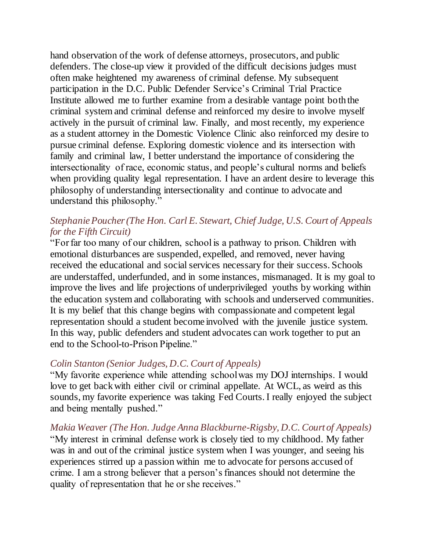hand observation of the work of defense attorneys, prosecutors, and public defenders. The close-up view it provided of the difficult decisions judges must often make heightened my awareness of criminal defense. My subsequent participation in the D.C. Public Defender Service's Criminal Trial Practice Institute allowed me to further examine from a desirable vantage point both the criminal system and criminal defense and reinforced my desire to involve myself actively in the pursuit of criminal law. Finally, and most recently, my experience as a student attorney in the Domestic Violence Clinic also reinforced my desire to pursue criminal defense. Exploring domestic violence and its intersection with family and criminal law, I better understand the importance of considering the intersectionality of race, economic status, and people's cultural norms and beliefs when providing quality legal representation. I have an ardent desire to leverage this philosophy of understanding intersectionality and continue to advocate and understand this philosophy."

#### *Stephanie Poucher (The Hon. Carl E. Stewart, Chief Judge, U.S. Court of Appeals for the Fifth Circuit)*

"For far too many of our children, school is a pathway to prison. Children with emotional disturbances are suspended, expelled, and removed, never having received the educational and social services necessary for their success. Schools are understaffed, underfunded, and in some instances, mismanaged. It is my goal to improve the lives and life projections of underprivileged youths by working within the education system and collaborating with schools and underserved communities. It is my belief that this change begins with compassionate and competent legal representation should a student become involved with the juvenile justice system. In this way, public defenders and student advocates can work together to put an end to the School-to-Prison Pipeline."

#### *Colin Stanton (Senior Judges, D.C. Court of Appeals)*

"My favorite experience while attending school was my DOJ internships. I would love to get back with either civil or criminal appellate. At WCL, as weird as this sounds, my favorite experience was taking Fed Courts. I really enjoyed the subject and being mentally pushed."

*Makia Weaver (The Hon. Judge Anna Blackburne-Rigsby, D.C. Court of Appeals)* "My interest in criminal defense work is closely tied to my childhood. My father was in and out of the criminal justice system when I was younger, and seeing his experiences stirred up a passion within me to advocate for persons accused of crime. I am a strong believer that a person's finances should not determine the quality of representation that he or she receives."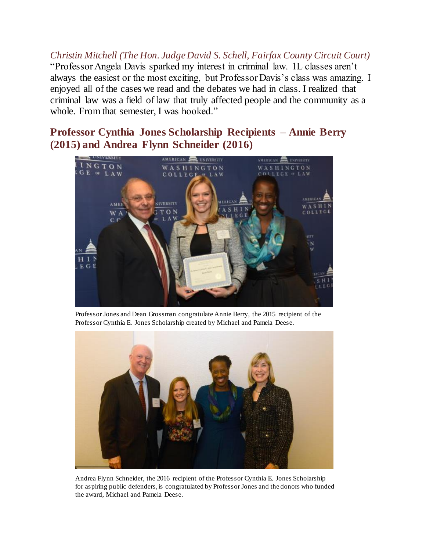*Christin Mitchell (The Hon. Judge David S. Schell, Fairfax County Circuit Court)* "Professor Angela Davis sparked my interest in criminal law. 1L classes aren't always the easiest or the most exciting, but Professor Davis's class was amazing. I enjoyed all of the cases we read and the debates we had in class. I realized that criminal law was a field of law that truly affected people and the community as a whole. From that semester, I was hooked."

## **Professor Cynthia Jones Scholarship Recipients – Annie Berry (2015) and Andrea Flynn Schneider (2016)**



Professor Jones and Dean Grossman congratulate Annie Berry, the 2015 recipient of the Professor Cynthia E. Jones Scholarship created by Michael and Pamela Deese.



Andrea Flynn Schneider, the 2016 recipient of the Professor Cynthia E. Jones Scholarship for aspiring public defenders, is congratulated by Professor Jones and the donors who funded the award, Michael and Pamela Deese.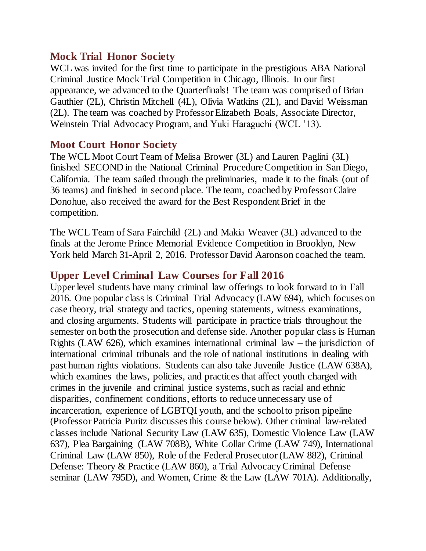#### **Mock Trial Honor Society**

WCL was invited for the first time to participate in the prestigious ABA National Criminal Justice Mock Trial Competition in Chicago, Illinois. In our first appearance, we advanced to the Quarterfinals! The team was comprised of Brian Gauthier (2L), Christin Mitchell (4L), Olivia Watkins (2L), and David Weissman (2L). The team was coached by ProfessorElizabeth Boals, Associate Director, Weinstein Trial Advocacy Program, and Yuki Haraguchi (WCL '13).

#### **Moot Court Honor Society**

The WCL Moot Court Team of Melisa Brower (3L) and Lauren Paglini (3L) finished SECOND in the National Criminal Procedure Competition in San Diego, California. The team sailed through the preliminaries, made it to the finals (out of 36 teams) and finished in second place. The team, coached by Professor Claire Donohue, also received the award for the Best Respondent Brief in the competition.

The WCL Team of Sara Fairchild (2L) and Makia Weaver (3L) advanced to the finals at the Jerome Prince Memorial Evidence Competition in Brooklyn, New York held March 31-April 2, 2016. Professor David Aaronson coached the team.

#### **Upper Level Criminal Law Courses for Fall 2016**

Upper level students have many criminal law offerings to look forward to in Fall 2016. One popular class is Criminal Trial Advocacy (LAW 694), which focuses on case theory, trial strategy and tactics, opening statements, witness examinations, and closing arguments. Students will participate in practice trials throughout the semester on both the prosecution and defense side. Another popular class is Human Rights (LAW 626), which examines international criminal law – the jurisdiction of international criminal tribunals and the role of national institutions in dealing with past human rights violations. Students can also take Juvenile Justice (LAW 638A), which examines the laws, policies, and practices that affect youth charged with crimes in the juvenile and criminal justice systems, such as racial and ethnic disparities, confinement conditions, efforts to reduce unnecessary use of incarceration, experience of LGBTQI youth, and the school to prison pipeline (Professor Patricia Puritz discusses this course below). Other criminal law-related classes include National Security Law (LAW 635), Domestic Violence Law (LAW 637), Plea Bargaining (LAW 708B), White Collar Crime (LAW 749), International Criminal Law (LAW 850), Role of the Federal Prosecutor (LAW 882), Criminal Defense: Theory & Practice (LAW 860), a Trial Advocacy Criminal Defense seminar (LAW 795D), and Women, Crime & the Law (LAW 701A). Additionally,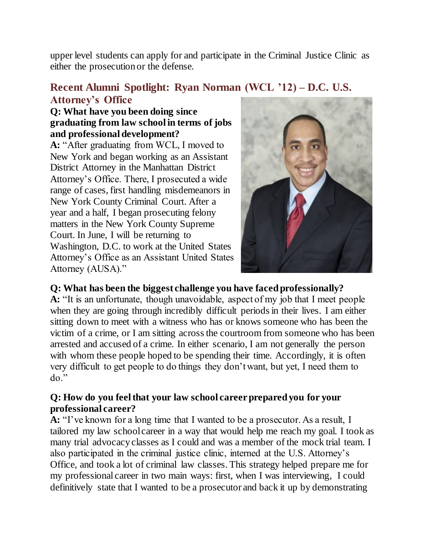upper level students can apply for and participate in the Criminal Justice Clinic as either the prosecution or the defense.

# **Recent Alumni Spotlight: Ryan Norman (WCL '12) – D.C. U.S. Attorney's Office**

#### **Q: What have you been doing since graduating from law school in terms of jobs and professional development?**

**A:** "After graduating from WCL, I moved to New York and began working as an Assistant District Attorney in the Manhattan District Attorney's Office. There, I prosecuted a wide range of cases, first handling misdemeanors in New York County Criminal Court. After a year and a half, I began prosecuting felony matters in the New York County Supreme Court. In June, I will be returning to Washington, D.C. to work at the United States Attorney's Office as an Assistant United States Attorney (AUSA)."



#### **Q: What has been the biggest challenge you have faced professionally?**

**A:** "It is an unfortunate, though unavoidable, aspect of my job that I meet people when they are going through incredibly difficult periods in their lives. I am either sitting down to meet with a witness who has or knows someone who has been the victim of a crime, or I am sitting across the courtroom from someone who has been arrested and accused of a crime. In either scenario, I am not generally the person with whom these people hoped to be spending their time. Accordingly, it is often very difficult to get people to do things they don't want, but yet, I need them to do."

#### **Q: How do you feel that your law school career prepared you for your professional career?**

**A:** "I've known for a long time that I wanted to be a prosecutor. As a result, I tailored my law school career in a way that would help me reach my goal. I took as many trial advocacy classes as I could and was a member of the mock trial team. I also participated in the criminal justice clinic, interned at the U.S. Attorney's Office, and took a lot of criminal law classes. This strategy helped prepare me for my professional career in two main ways: first, when I was interviewing, I could definitively state that I wanted to be a prosecutor and back it up by demonstrating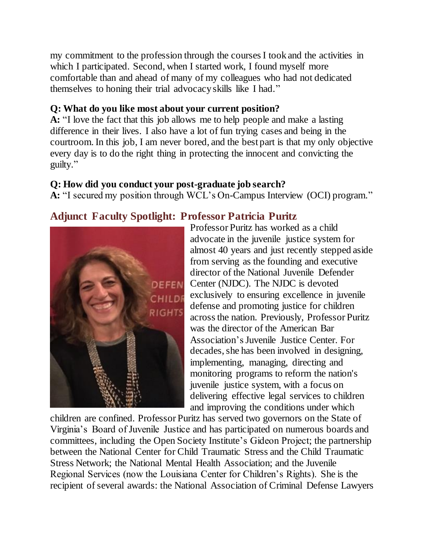my commitment to the profession through the courses I took and the activities in which I participated. Second, when I started work, I found myself more comfortable than and ahead of many of my colleagues who had not dedicated themselves to honing their trial advocacy skills like I had."

## **Q: What do you like most about your current position?**

**A:** "I love the fact that this job allows me to help people and make a lasting difference in their lives. I also have a lot of fun trying cases and being in the courtroom. In this job, I am never bored, and the best part is that my only objective every day is to do the right thing in protecting the innocent and convicting the guilty."

## **Q: How did you conduct your post-graduate job search?**

**A:** "I secured my position through WCL's On-Campus Interview (OCI) program."

# **Adjunct Faculty Spotlight: Professor Patricia Puritz**



Professor Puritz has worked as a child advocate in the juvenile justice system for almost 40 years and just recently stepped aside from serving as the founding and executive director of the National Juvenile Defender **DEFEN** Center (NJDC). The NJDC is devoted exclusively to ensuring excellence in juvenile defense and promoting justice for children across the nation. Previously, Professor Puritz was the director of the American Bar Association's Juvenile Justice Center. For decades, she has been involved in designing, implementing, managing, directing and monitoring programs to reform the nation's juvenile justice system, with a focus on delivering effective legal services to children and improving the conditions under which

children are confined. Professor Puritz has served two governors on the State of Virginia's Board of Juvenile Justice and has participated on numerous boards and committees, including the Open Society Institute's Gideon Project; the partnership between the National Center for Child Traumatic Stress and the Child Traumatic Stress Network; the National Mental Health Association; and the Juvenile Regional Services (now the Louisiana Center for Children's Rights). She is the recipient of several awards: the National Association of Criminal Defense Lawyers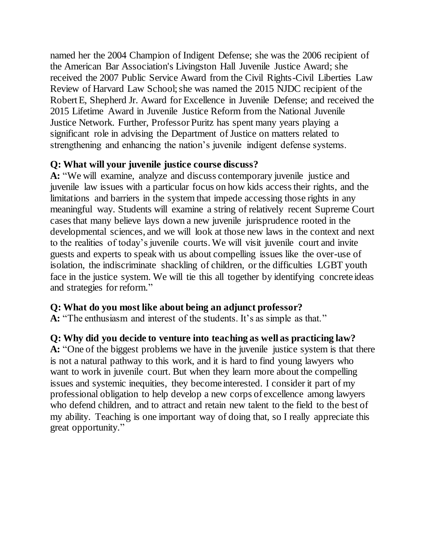named her the 2004 Champion of Indigent Defense; she was the 2006 recipient of the American Bar Association's Livingston Hall Juvenile Justice Award; she received the 2007 Public Service Award from the Civil Rights-Civil Liberties Law Review of Harvard Law School; she was named the 2015 NJDC recipient of the Robert E, Shepherd Jr. Award for Excellence in Juvenile Defense; and received the 2015 Lifetime Award in Juvenile Justice Reform from the National Juvenile Justice Network. Further, Professor Puritz has spent many years playing a significant role in advising the Department of Justice on matters related to strengthening and enhancing the nation's juvenile indigent defense systems.

#### **Q: What will your juvenile justice course discuss?**

**A:** "We will examine, analyze and discuss contemporary juvenile justice and juvenile law issues with a particular focus on how kids access their rights, and the limitations and barriers in the system that impede accessing those rights in any meaningful way. Students will examine a string of relatively recent Supreme Court cases that many believe lays down a new juvenile jurisprudence rooted in the developmental sciences, and we will look at those new laws in the context and next to the realities of today's juvenile courts. We will visit juvenile court and invite guests and experts to speak with us about compelling issues like the over-use of isolation, the indiscriminate shackling of children, or the difficulties LGBT youth face in the justice system. We will tie this all together by identifying concrete ideas and strategies for reform."

#### **Q: What do you most like about being an adjunct professor?**

**A:** "The enthusiasm and interest of the students. It's as simple as that."

#### **Q: Why did you decide to venture into teaching as well as practicing law?**

**A:** "One of the biggest problems we have in the juvenile justice system is that there is not a natural pathway to this work, and it is hard to find young lawyers who want to work in juvenile court. But when they learn more about the compelling issues and systemic inequities, they become interested. I consider it part of my professional obligation to help develop a new corps of excellence among lawyers who defend children, and to attract and retain new talent to the field to the best of my ability. Teaching is one important way of doing that, so I really appreciate this great opportunity."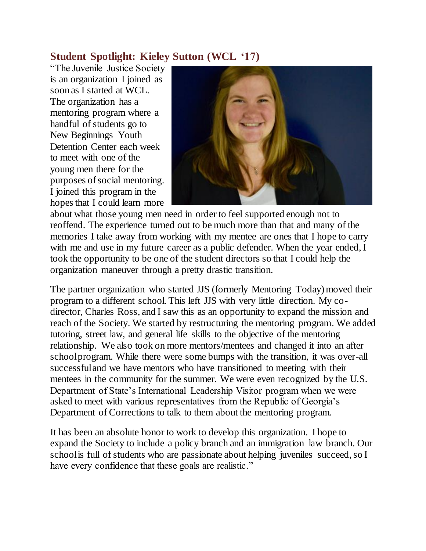# **Student Spotlight: Kieley Sutton (WCL '17)**

"The Juvenile Justice Society is an organization I joined as soon as I started at WCL. The organization has a mentoring program where a handful of students go to New Beginnings Youth Detention Center each week to meet with one of the young men there for the purposes of social mentoring. I joined this program in the hopes that I could learn more



about what those young men need in order to feel supported enough not to reoffend. The experience turned out to be much more than that and many of the memories I take away from working with my mentee are ones that I hope to carry with me and use in my future career as a public defender. When the year ended, I took the opportunity to be one of the student directors so that I could help the organization maneuver through a pretty drastic transition.

The partner organization who started JJS (formerly Mentoring Today) moved their program to a different school. This left JJS with very little direction. My codirector, Charles Ross, and I saw this as an opportunity to expand the mission and reach of the Society. We started by restructuring the mentoring program. We added tutoring, street law, and general life skills to the objective of the mentoring relationship. We also took on more mentors/mentees and changed it into an after school program. While there were some bumps with the transition, it was over-all successful and we have mentors who have transitioned to meeting with their mentees in the community for the summer. We were even recognized by the U.S. Department of State's International Leadership Visitor program when we were asked to meet with various representatives from the Republic of Georgia's Department of Corrections to talk to them about the mentoring program.

It has been an absolute honor to work to develop this organization. I hope to expand the Society to include a policy branch and an immigration law branch. Our school is full of students who are passionate about helping juveniles succeed, so I have every confidence that these goals are realistic."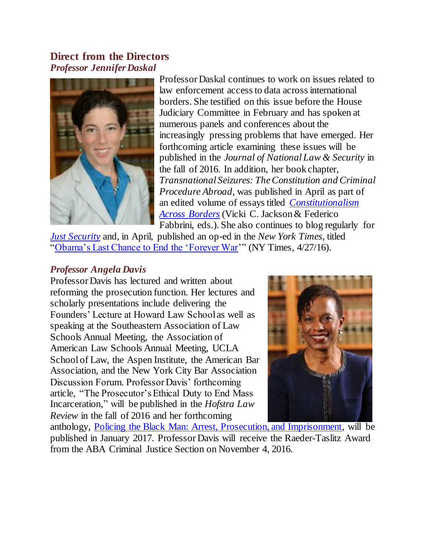#### **Direct from the Directors** *Professor Jennifer Daskal*



Professor Daskal continues to work on issues related to law enforcement access to data across international borders. She testified on this issue before the House Judiciary Committee in February and has spoken at numerous panels and conferences about the increasingly pressing problems that have emerged. Her forthcoming article examining these issues will be published in the *Journal of National Law & Security* in the fall of 2016. In addition, her book chapter, *Transnational Seizures: The Constitution and Criminal Procedure Abroad*, was published in April as part of an edited volume of essays titled *[Constitutionalism](http://www.e-elgar.com/shop/constitutionalism-across-borders-in-the-struggle-against-terrorism)  [Across Borders](http://www.e-elgar.com/shop/constitutionalism-across-borders-in-the-struggle-against-terrorism)* (Vicki C. Jackson & Federico Fabbrini, eds.). She also continues to blog regularly for

*[Just Security](https://www.justsecurity.org/author/daskaljennifer/)* and, in April, published an op-ed in the *New York Times*, titled ["Obama's Last Chance to End the 'Forever War'](http://www.nytimes.com/2016/04/27/opinion/obamas-last-chance-to-end-the-forever-war.html)" (NY Times, 4/27/16).

#### *Professor Angela Davis*

Professor Davis has lectured and written about reforming the prosecution function. Her lectures and scholarly presentations include delivering the Founders' Lecture at Howard Law School as well as speaking at the Southeastern Association of Law Schools Annual Meeting, the Association of American Law Schools Annual Meeting, UCLA School of Law, the Aspen Institute, the American Bar Association, and the New York City Bar Association Discussion Forum. Professor Davis' forthcoming article, "The Prosecutor's Ethical Duty to End Mass Incarceration," will be published in the *Hofstra Law Review* in the fall of 2016 and her forthcoming



anthology, [Policing the Black Man: Arrest, Prosecution, and Imprisonment,](https://books.google.com/books/about/Policing_the_Black_Man.html?id=PAcACwAAQBAJ) will be published in January 2017. Professor Davis will receive the Raeder-Taslitz Award from the ABA Criminal Justice Section on November 4, 2016.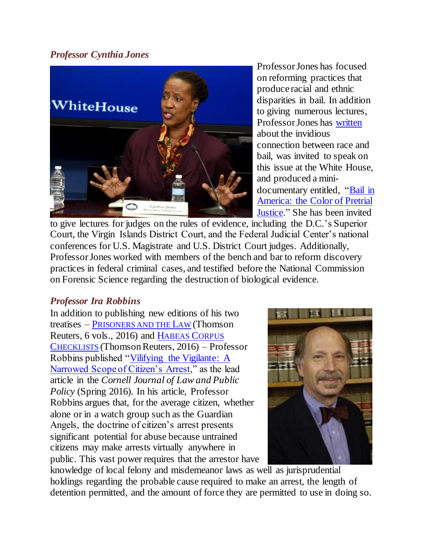#### *Professor Cynthia Jones*



Professor Jones has focused on reforming practices that produce racial and ethnic disparities in bail. In addition to giving numerous lectures, Professor Jones has [written](http://www.huffingtonpost.com/cynthia-jones/pretrial-detention-blacks-and-latinos_b_8537602.html) about the invidious connection between race and bail, was invited to speak on this issue at the White House, and produced a minidocumentary entitled, ["Bail in](https://www.youtube.com/watch?v=DBaVZqGXZrA&feature=youtu.be)  [America: the Color of Pretrial](https://www.youtube.com/watch?v=DBaVZqGXZrA&feature=youtu.be)  [Justice.](https://www.youtube.com/watch?v=DBaVZqGXZrA&feature=youtu.be)" She has been invited

to give lectures for judges on the rules of evidence, including the D.C.'s Superior Court, the Virgin Islands District Court, and the Federal Judicial Center's national conferences for U.S. Magistrate and U.S. District Court judges. Additionally, Professor Jones worked with members of the bench and bar to reform discovery practices in federal criminal cases, and testified before the National Commission on Forensic Science regarding the destruction of biological evidence.

#### *Professor Ira Robbins*

In addition to publishing new editions of his two treatises – P[RISONERS AND THE](http://legalsolutions.thomsonreuters.com/law-products/Treatises/Rights-of-Prisoners-4th/p/100008943) LAW (Thomson Reuters, 6 vols., 2016) and H[ABEAS](http://legalsolutions.thomsonreuters.com/law-products/Treatises/Habeas-Corpus-Checklists-2015-2016-ed/p/101291386) CORPUS C[HECKLISTS](http://legalsolutions.thomsonreuters.com/law-products/Treatises/Habeas-Corpus-Checklists-2015-2016-ed/p/101291386) (Thomson Reuters, 2016) – Professor Robbins published ["Vilifying the Vigilante: A](http://papers.ssrn.com/sol3/papers.cfm?abstract_id=2796715)  [Narrowed Scope of Citizen's Arrest,](http://papers.ssrn.com/sol3/papers.cfm?abstract_id=2796715)" as the lead article in the *Cornell Journal of Law and Public Policy* (Spring 2016). In his article, Professor Robbins argues that, for the average citizen, whether alone or in a watch group such as the Guardian Angels, the doctrine of citizen's arrest presents significant potential for abuse because untrained citizens may make arrests virtually anywhere in public. This vast power requires that the arrestor have



knowledge of local felony and misdemeanor laws as well as jurisprudential holdings regarding the probable cause required to make an arrest, the length of detention permitted, and the amount of force they are permitted to use in doing so.